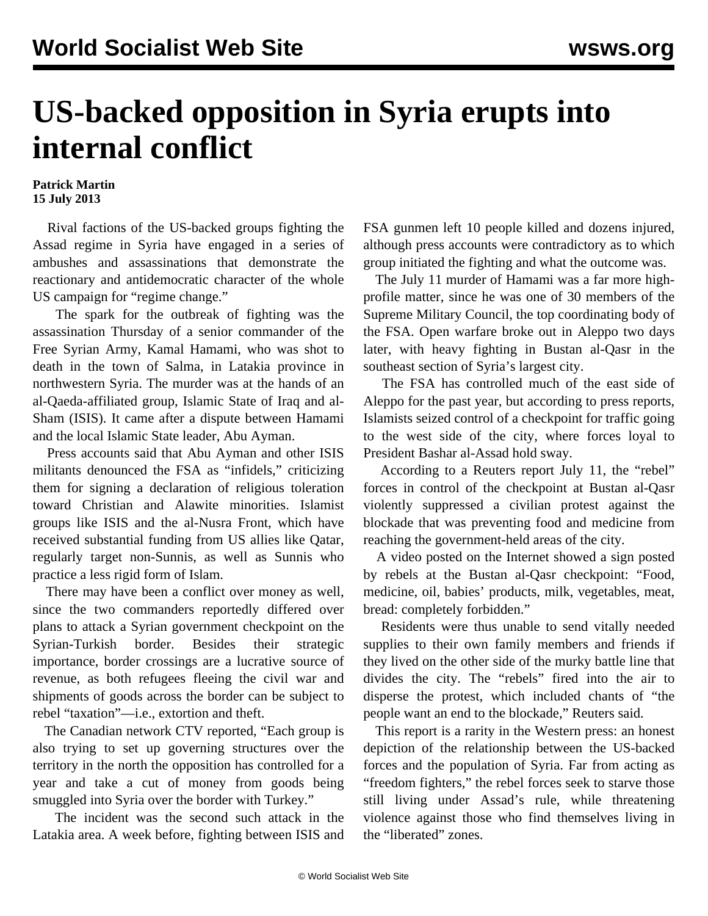## **US-backed opposition in Syria erupts into internal conflict**

## **Patrick Martin 15 July 2013**

 Rival factions of the US-backed groups fighting the Assad regime in Syria have engaged in a series of ambushes and assassinations that demonstrate the reactionary and antidemocratic character of the whole US campaign for "regime change."

 The spark for the outbreak of fighting was the assassination Thursday of a senior commander of the Free Syrian Army, Kamal Hamami, who was shot to death in the town of Salma, in Latakia province in northwestern Syria. The murder was at the hands of an al-Qaeda-affiliated group, Islamic State of Iraq and al-Sham (ISIS). It came after a dispute between Hamami and the local Islamic State leader, Abu Ayman.

 Press accounts said that Abu Ayman and other ISIS militants denounced the FSA as "infidels," criticizing them for signing a declaration of religious toleration toward Christian and Alawite minorities. Islamist groups like ISIS and the al-Nusra Front, which have received substantial funding from US allies like Qatar, regularly target non-Sunnis, as well as Sunnis who practice a less rigid form of Islam.

 There may have been a conflict over money as well, since the two commanders reportedly differed over plans to attack a Syrian government checkpoint on the Syrian-Turkish border. Besides their strategic importance, border crossings are a lucrative source of revenue, as both refugees fleeing the civil war and shipments of goods across the border can be subject to rebel "taxation"—i.e., extortion and theft.

 The Canadian network CTV reported, "Each group is also trying to set up governing structures over the territory in the north the opposition has controlled for a year and take a cut of money from goods being smuggled into Syria over the border with Turkey."

 The incident was the second such attack in the Latakia area. A week before, fighting between ISIS and FSA gunmen left 10 people killed and dozens injured, although press accounts were contradictory as to which group initiated the fighting and what the outcome was.

 The July 11 murder of Hamami was a far more highprofile matter, since he was one of 30 members of the Supreme Military Council, the top coordinating body of the FSA. Open warfare broke out in Aleppo two days later, with heavy fighting in Bustan al-Qasr in the southeast section of Syria's largest city.

 The FSA has controlled much of the east side of Aleppo for the past year, but according to press reports, Islamists seized control of a checkpoint for traffic going to the west side of the city, where forces loyal to President Bashar al-Assad hold sway.

 According to a Reuters report July 11, the "rebel" forces in control of the checkpoint at Bustan al-Qasr violently suppressed a civilian protest against the blockade that was preventing food and medicine from reaching the government-held areas of the city.

 A video posted on the Internet showed a sign posted by rebels at the Bustan al-Qasr checkpoint: "Food, medicine, oil, babies' products, milk, vegetables, meat, bread: completely forbidden."

 Residents were thus unable to send vitally needed supplies to their own family members and friends if they lived on the other side of the murky battle line that divides the city. The "rebels" fired into the air to disperse the protest, which included chants of "the people want an end to the blockade," Reuters said.

 This report is a rarity in the Western press: an honest depiction of the relationship between the US-backed forces and the population of Syria. Far from acting as "freedom fighters," the rebel forces seek to starve those still living under Assad's rule, while threatening violence against those who find themselves living in the "liberated" zones.